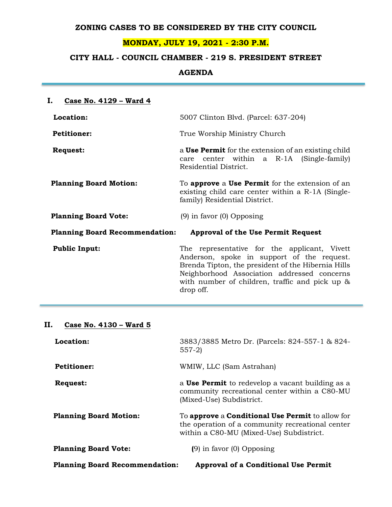### **ZONING CASES TO BE CONSIDERED BY THE CITY COUNCIL**

## **MONDAY, JULY 19, 2021 - 2:30 P.M.**

# **CITY HALL - COUNCIL CHAMBER - 219 S. PRESIDENT STREET**

### **AGENDA**

| Ι.<br>Case No. 4129 - Ward 4          |                                                                                                                                                                                                                                                                |  |  |  |
|---------------------------------------|----------------------------------------------------------------------------------------------------------------------------------------------------------------------------------------------------------------------------------------------------------------|--|--|--|
| Location:                             | 5007 Clinton Blvd. (Parcel: 637-204)                                                                                                                                                                                                                           |  |  |  |
| <b>Petitioner:</b>                    | True Worship Ministry Church                                                                                                                                                                                                                                   |  |  |  |
| <b>Request:</b>                       | a Use Permit for the extension of an existing child<br>care center within a R-1A (Single-family)<br>Residential District.                                                                                                                                      |  |  |  |
| <b>Planning Board Motion:</b>         | To <b>approve</b> a <b>Use Permit</b> for the extension of an<br>existing child care center within a R-1A (Single-<br>family) Residential District.                                                                                                            |  |  |  |
| <b>Planning Board Vote:</b>           | $(9)$ in favor $(0)$ Opposing                                                                                                                                                                                                                                  |  |  |  |
| <b>Planning Board Recommendation:</b> | <b>Approval of the Use Permit Request</b>                                                                                                                                                                                                                      |  |  |  |
| <b>Public Input:</b>                  | The representative for the applicant, Vivett<br>Anderson, spoke in support of the request.<br>Brenda Tipton, the president of the Hibernia Hills<br>Neighborhood Association addressed concerns<br>with number of children, traffic and pick up &<br>drop off. |  |  |  |

# **II. Case No. 4130 – Ward 5**

| Location:                             | 3883/3885 Metro Dr. (Parcels: 824-557-1 & 824-<br>$557-2$                                                                                                      |
|---------------------------------------|----------------------------------------------------------------------------------------------------------------------------------------------------------------|
| <b>Petitioner:</b>                    | WMIW, LLC (Sam Astrahan)                                                                                                                                       |
| Request:                              | a <b>Use Permit</b> to redevelop a vacant building as a<br>community recreational center within a C80-MU<br>(Mixed-Use) Subdistrict.                           |
| <b>Planning Board Motion:</b>         | To <b>approve</b> a <b>Conditional Use Permit</b> to allow for<br>the operation of a community recreational center<br>within a C80-MU (Mixed-Use) Subdistrict. |
| <b>Planning Board Vote:</b>           | $(9)$ in favor $(0)$ Opposing                                                                                                                                  |
| <b>Planning Board Recommendation:</b> | <b>Approval of a Conditional Use Permit</b>                                                                                                                    |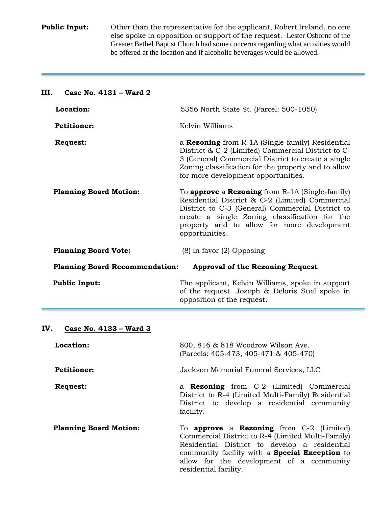**Public Input:** Other than the representative for the applicant, Robert Ireland, no one else spoke in opposition or support of the request. Lester Osborne of the Greater Bethel Baptist Church had some concerns regarding what activities would be offered at the location and if alcoholic beverages would be allowed.

### **III. Case No. 4131 – Ward 2**

| Location:                             | 5356 North State St. (Parcel: 500-1050)                                                                                                                                                                                                                                                 |  |
|---------------------------------------|-----------------------------------------------------------------------------------------------------------------------------------------------------------------------------------------------------------------------------------------------------------------------------------------|--|
| <b>Petitioner:</b>                    | Kelvin Williams                                                                                                                                                                                                                                                                         |  |
| <b>Request:</b>                       | a <b>Rezoning</b> from R-1A (Single-family) Residential<br>District & C-2 (Limited) Commercial District to C-<br>3 (General) Commercial District to create a single<br>Zoning classification for the property and to allow<br>for more development opportunities.                       |  |
| <b>Planning Board Motion:</b>         | To <b>approve</b> a <b>Rezoning</b> from $R-1A$ (Single-family)<br>Residential District & C-2 (Limited) Commercial<br>District to C-3 (General) Commercial District to<br>create a single Zoning classification for the<br>property and to allow for more development<br>opportunities. |  |
| <b>Planning Board Vote:</b>           | $(8)$ in favor $(2)$ Opposing                                                                                                                                                                                                                                                           |  |
| <b>Planning Board Recommendation:</b> | <b>Approval of the Rezoning Request</b>                                                                                                                                                                                                                                                 |  |
| <b>Public Input:</b>                  | The applicant, Kelvin Williams, spoke in support<br>of the request. Joseph & Deloris Suel spoke in<br>opposition of the request.                                                                                                                                                        |  |

## **IV. Case No. 4133 – Ward 3**

| Location:                     | 800, 816 & 818 Woodrow Wilson Ave.<br>(Parcels: 405-473, 405-471 & 405-470)                                                                                                                                                                                                                  |  |
|-------------------------------|----------------------------------------------------------------------------------------------------------------------------------------------------------------------------------------------------------------------------------------------------------------------------------------------|--|
| <b>Petitioner:</b>            | Jackson Memorial Funeral Services, LLC                                                                                                                                                                                                                                                       |  |
| <b>Request:</b>               | a <b>Rezoning</b> from C-2 (Limited) Commercial<br>District to R-4 (Limited Multi-Family) Residential<br>District to develop a residential community<br>facility.                                                                                                                            |  |
| <b>Planning Board Motion:</b> | To <b>approve</b> a <b>Rezoning</b> from $C-2$ (Limited)<br>Commercial District to R-4 (Limited Multi-Family)<br>Residential District to develop a residential<br>community facility with a <b>Special Exception</b> to<br>allow for the development of a community<br>residential facility. |  |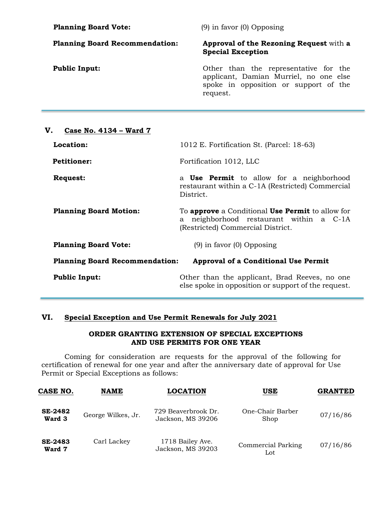| <b>Planning Board Vote:</b>           | $(9)$ in favor $(0)$ Opposing                                                                                                        |  |
|---------------------------------------|--------------------------------------------------------------------------------------------------------------------------------------|--|
| <b>Planning Board Recommendation:</b> | <b>Approval of the Rezoning Request</b> with a<br><b>Special Exception</b>                                                           |  |
| <b>Public Input:</b>                  | Other than the representative for the<br>applicant, Damian Murriel, no one else<br>spoke in opposition or support of the<br>request. |  |
|                                       |                                                                                                                                      |  |

| V.<br>Case No. 4134 - Ward 7          |                                                                                                                                                   |  |  |
|---------------------------------------|---------------------------------------------------------------------------------------------------------------------------------------------------|--|--|
| Location:                             | 1012 E. Fortification St. (Parcel: 18-63)                                                                                                         |  |  |
| <b>Petitioner:</b>                    | Fortification 1012, LLC                                                                                                                           |  |  |
| Request:                              | a <b>Use Permit</b> to allow for a neighborhood<br>restaurant within a C-1A (Restricted) Commercial<br>District.                                  |  |  |
| <b>Planning Board Motion:</b>         | To <b>approve</b> a Conditional <b>Use Permit</b> to allow for<br>neighborhood restaurant within a C-1A<br>a<br>(Restricted) Commercial District. |  |  |
| <b>Planning Board Vote:</b>           | $(9)$ in favor $(0)$ Opposing                                                                                                                     |  |  |
| <b>Planning Board Recommendation:</b> | <b>Approval of a Conditional Use Permit</b>                                                                                                       |  |  |
| <b>Public Input:</b>                  | Other than the applicant, Brad Reeves, no one<br>else spoke in opposition or support of the request.                                              |  |  |

## **VI. Special Exception and Use Permit Renewals for July 2021**

÷

### **ORDER GRANTING EXTENSION OF SPECIAL EXCEPTIONS AND USE PERMITS FOR ONE YEAR**

Coming for consideration are requests for the approval of the following for certification of renewal for one year and after the anniversary date of approval for Use Permit or Special Exceptions as follows:

| CASE NO.                 | <b>NAME</b>        | <b>LOCATION</b>                          | USE                       | <b>GRANTED</b> |
|--------------------------|--------------------|------------------------------------------|---------------------------|----------------|
| <b>SE-2482</b><br>Ward 3 | George Wilkes, Jr. | 729 Beaverbrook Dr.<br>Jackson, MS 39206 | One-Chair Barber<br>Shop  | 07/16/86       |
| <b>SE-2483</b><br>Ward 7 | Carl Lackey        | 1718 Bailey Ave.<br>Jackson, MS 39203    | Commercial Parking<br>Lot | 07/16/86       |